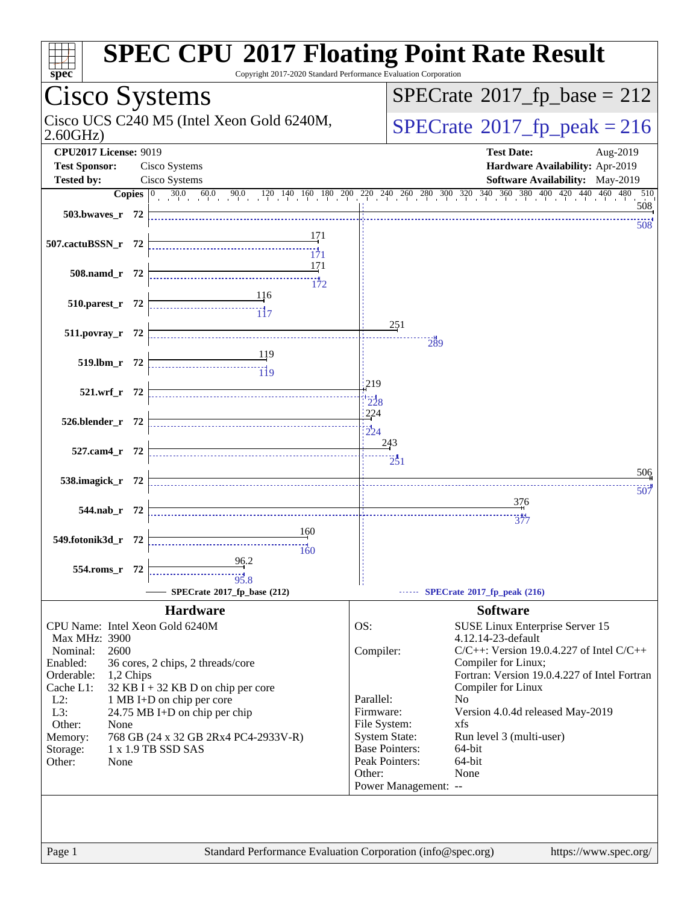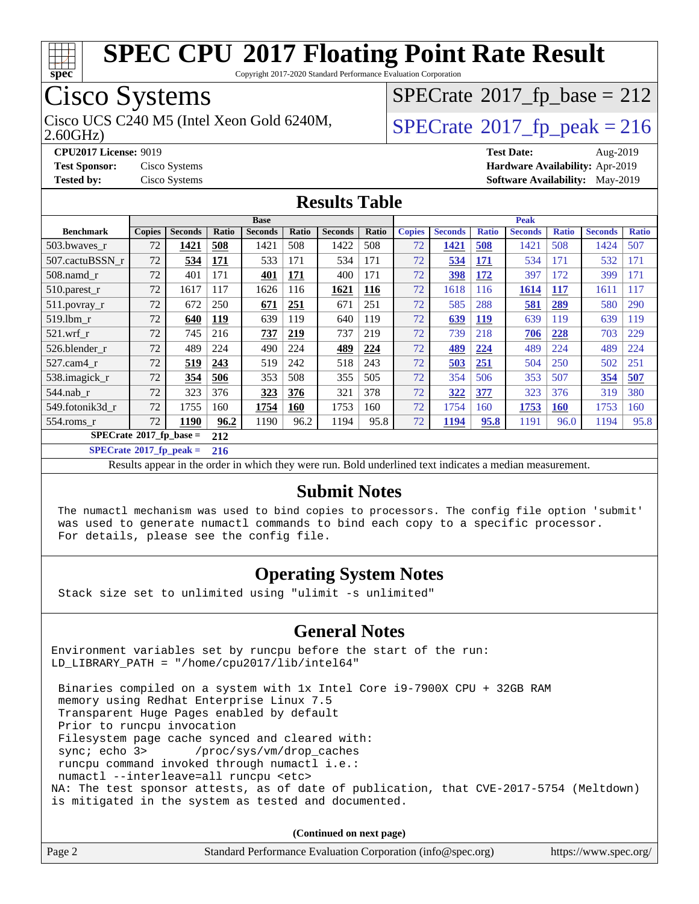

Copyright 2017-2020 Standard Performance Evaluation Corporation

## Cisco Systems

Cisco UCS C240 M5 (Intel Xeon Gold 6240M,  $SPECrate@2017_fp\_peak = 216$  $SPECrate@2017_fp\_peak = 216$ 

 $SPECTate$ <sup>®</sup>[2017\\_fp\\_base =](http://www.spec.org/auto/cpu2017/Docs/result-fields.html#SPECrate2017fpbase) 212

2.60GHz)

**[CPU2017 License:](http://www.spec.org/auto/cpu2017/Docs/result-fields.html#CPU2017License)** 9019 **[Test Date:](http://www.spec.org/auto/cpu2017/Docs/result-fields.html#TestDate)** Aug-2019 **[Test Sponsor:](http://www.spec.org/auto/cpu2017/Docs/result-fields.html#TestSponsor)** Cisco Systems **[Hardware Availability:](http://www.spec.org/auto/cpu2017/Docs/result-fields.html#HardwareAvailability)** Apr-2019 **[Tested by:](http://www.spec.org/auto/cpu2017/Docs/result-fields.html#Testedby)** Cisco Systems **[Software Availability:](http://www.spec.org/auto/cpu2017/Docs/result-fields.html#SoftwareAvailability)** May-2019

#### **[Results Table](http://www.spec.org/auto/cpu2017/Docs/result-fields.html#ResultsTable)**

|                                        | <b>Base</b>   |                |            |                |            | <b>Peak</b>    |       |               |                |              |                |              |                |              |
|----------------------------------------|---------------|----------------|------------|----------------|------------|----------------|-------|---------------|----------------|--------------|----------------|--------------|----------------|--------------|
| <b>Benchmark</b>                       | <b>Copies</b> | <b>Seconds</b> | Ratio      | <b>Seconds</b> | Ratio      | <b>Seconds</b> | Ratio | <b>Copies</b> | <b>Seconds</b> | <b>Ratio</b> | <b>Seconds</b> | <b>Ratio</b> | <b>Seconds</b> | <b>Ratio</b> |
| 503.bwayes r                           | 72            | 1421           | 508        | 1421           | 508        | 1422           | 508   | 72            | 1421           | 508          | 1421           | 508          | 1424           | 507          |
| 507.cactuBSSN r                        | 72            | 534            | 171        | 533            | 171        | 534            | 171   | 72            | 534            | <u>171</u>   | 534            | 171          | 532            | 171          |
| $508$ .namd $r$                        | 72            | 401            | 171        | 401            | 171        | 400            | 171   | 72            | 398            | 172          | 397            | 172          | 399            | 171          |
| 510.parest_r                           | 72            | 1617           | 117        | 1626           | 116        | 1621           | 116   | 72            | 1618           | 116          | 1614           | 117          | 1611           | 117          |
| 511.povray_r                           | 72            | 672            | 250        | 671            | <u>251</u> | 671            | 251   | 72            | 585            | 288          | <u>581</u>     | 289          | 580            | 290          |
| 519.1bm r                              | 72            | 640            | <u>119</u> | 639            | 119        | 640            | 119   | 72            | 639            | <u>119</u>   | 639            | 119          | 639            | 119          |
| $521$ .wrf r                           | 72            | 745            | 216        | 737            | 219        | 737            | 219   | 72            | 739            | 218          | 706            | 228          | 703            | 229          |
| 526.blender r                          | 72            | 489            | 224        | 490            | 224        | 489            | 224   | 72            | 489            | 224          | 489            | 224          | 489            | 224          |
| 527.cam4 r                             | 72            | 519            | 243        | 519            | 242        | 518            | 243   | 72            | 503            | 251          | 504            | 250          | 502            | 251          |
| 538.imagick_r                          | 72            | 354            | 506        | 353            | 508        | 355            | 505   | 72            | 354            | 506          | 353            | 507          | 354            | 507          |
| $544$ .nab r                           | 72            | 323            | 376        | 323            | 376        | 321            | 378   | 72            | 322            | 377          | 323            | 376          | 319            | 380          |
| 549.fotonik3d r                        | 72            | 1755           | 160        | 1754           | 160        | 1753           | 160   | 72            | 1754           | 160          | 1753           | <b>160</b>   | 1753           | 160          |
| $554$ .roms $r$                        | 72            | 1190           | 96.2       | 1190           | 96.2       | 1194           | 95.8  | 72            | 1194           | 95.8         | 1191           | 96.0         | 1194           | 95.8         |
| $SPECrate$ <sup>®</sup> 2017_fp_base = |               | 212            |            |                |            |                |       |               |                |              |                |              |                |              |

**[SPECrate](http://www.spec.org/auto/cpu2017/Docs/result-fields.html#SPECrate2017fppeak)[2017\\_fp\\_peak =](http://www.spec.org/auto/cpu2017/Docs/result-fields.html#SPECrate2017fppeak) 216**

Results appear in the [order in which they were run.](http://www.spec.org/auto/cpu2017/Docs/result-fields.html#RunOrder) Bold underlined text [indicates a median measurement.](http://www.spec.org/auto/cpu2017/Docs/result-fields.html#Median)

#### **[Submit Notes](http://www.spec.org/auto/cpu2017/Docs/result-fields.html#SubmitNotes)**

 The numactl mechanism was used to bind copies to processors. The config file option 'submit' was used to generate numactl commands to bind each copy to a specific processor. For details, please see the config file.

#### **[Operating System Notes](http://www.spec.org/auto/cpu2017/Docs/result-fields.html#OperatingSystemNotes)**

Stack size set to unlimited using "ulimit -s unlimited"

#### **[General Notes](http://www.spec.org/auto/cpu2017/Docs/result-fields.html#GeneralNotes)**

Environment variables set by runcpu before the start of the run: LD\_LIBRARY\_PATH = "/home/cpu2017/lib/intel64"

 Binaries compiled on a system with 1x Intel Core i9-7900X CPU + 32GB RAM memory using Redhat Enterprise Linux 7.5 Transparent Huge Pages enabled by default Prior to runcpu invocation Filesystem page cache synced and cleared with: sync; echo 3> /proc/sys/vm/drop\_caches runcpu command invoked through numactl i.e.: numactl --interleave=all runcpu <etc> NA: The test sponsor attests, as of date of publication, that CVE-2017-5754 (Meltdown) is mitigated in the system as tested and documented.

**(Continued on next page)**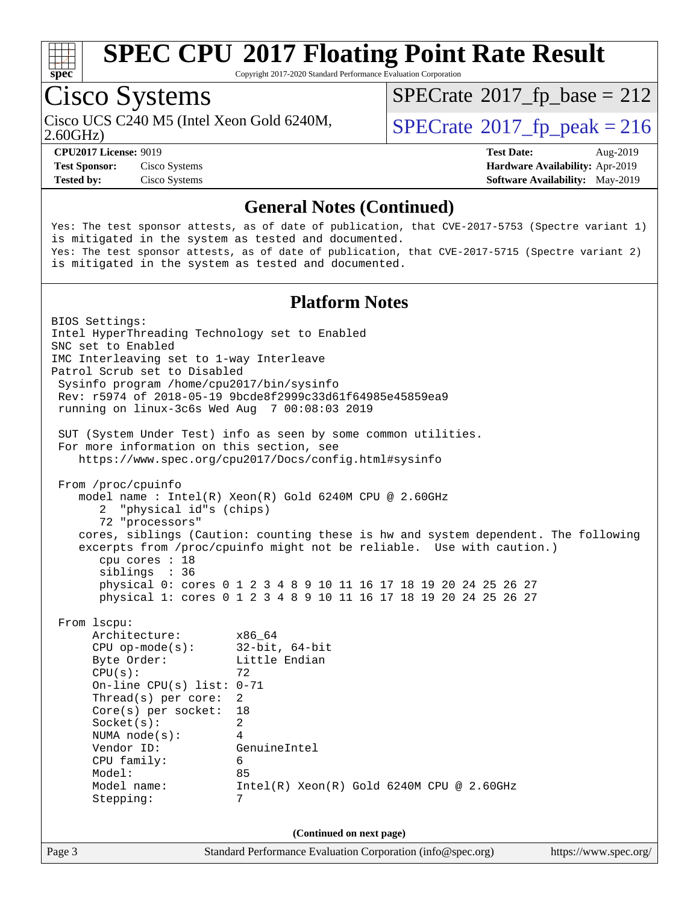

Copyright 2017-2020 Standard Performance Evaluation Corporation

# Cisco Systems

Cisco UCS C240 M5 (Intel Xeon Gold 6240M,  $SPECrate@2017_fp\_peak = 216$  $SPECrate@2017_fp\_peak = 216$ 

 $SPECTate$ <sup>®</sup>[2017\\_fp\\_base =](http://www.spec.org/auto/cpu2017/Docs/result-fields.html#SPECrate2017fpbase) 212

2.60GHz)

**[Test Sponsor:](http://www.spec.org/auto/cpu2017/Docs/result-fields.html#TestSponsor)** Cisco Systems **[Hardware Availability:](http://www.spec.org/auto/cpu2017/Docs/result-fields.html#HardwareAvailability)** Apr-2019 **[Tested by:](http://www.spec.org/auto/cpu2017/Docs/result-fields.html#Testedby)** Cisco Systems **[Software Availability:](http://www.spec.org/auto/cpu2017/Docs/result-fields.html#SoftwareAvailability)** May-2019

**[CPU2017 License:](http://www.spec.org/auto/cpu2017/Docs/result-fields.html#CPU2017License)** 9019 **[Test Date:](http://www.spec.org/auto/cpu2017/Docs/result-fields.html#TestDate)** Aug-2019

#### **[General Notes \(Continued\)](http://www.spec.org/auto/cpu2017/Docs/result-fields.html#GeneralNotes)**

Yes: The test sponsor attests, as of date of publication, that CVE-2017-5753 (Spectre variant 1) is mitigated in the system as tested and documented. Yes: The test sponsor attests, as of date of publication, that CVE-2017-5715 (Spectre variant 2) is mitigated in the system as tested and documented.

#### **[Platform Notes](http://www.spec.org/auto/cpu2017/Docs/result-fields.html#PlatformNotes)**

Page 3 Standard Performance Evaluation Corporation [\(info@spec.org\)](mailto:info@spec.org) <https://www.spec.org/> BIOS Settings: Intel HyperThreading Technology set to Enabled SNC set to Enabled IMC Interleaving set to 1-way Interleave Patrol Scrub set to Disabled Sysinfo program /home/cpu2017/bin/sysinfo Rev: r5974 of 2018-05-19 9bcde8f2999c33d61f64985e45859ea9 running on linux-3c6s Wed Aug 7 00:08:03 2019 SUT (System Under Test) info as seen by some common utilities. For more information on this section, see <https://www.spec.org/cpu2017/Docs/config.html#sysinfo> From /proc/cpuinfo model name : Intel(R) Xeon(R) Gold 6240M CPU @ 2.60GHz 2 "physical id"s (chips) 72 "processors" cores, siblings (Caution: counting these is hw and system dependent. The following excerpts from /proc/cpuinfo might not be reliable. Use with caution.) cpu cores : 18 siblings : 36 physical 0: cores 0 1 2 3 4 8 9 10 11 16 17 18 19 20 24 25 26 27 physical 1: cores 0 1 2 3 4 8 9 10 11 16 17 18 19 20 24 25 26 27 From lscpu: Architecture: x86\_64 CPU op-mode(s): 32-bit, 64-bit Byte Order: Little Endian  $CPU(s):$  72 On-line CPU(s) list: 0-71 Thread(s) per core: 2 Core(s) per socket: 18 Socket(s): 2 NUMA node(s): 4 Vendor ID: GenuineIntel CPU family: 6 Model: 85 Model name: Intel(R) Xeon(R) Gold 6240M CPU @ 2.60GHz Stepping: 7 **(Continued on next page)**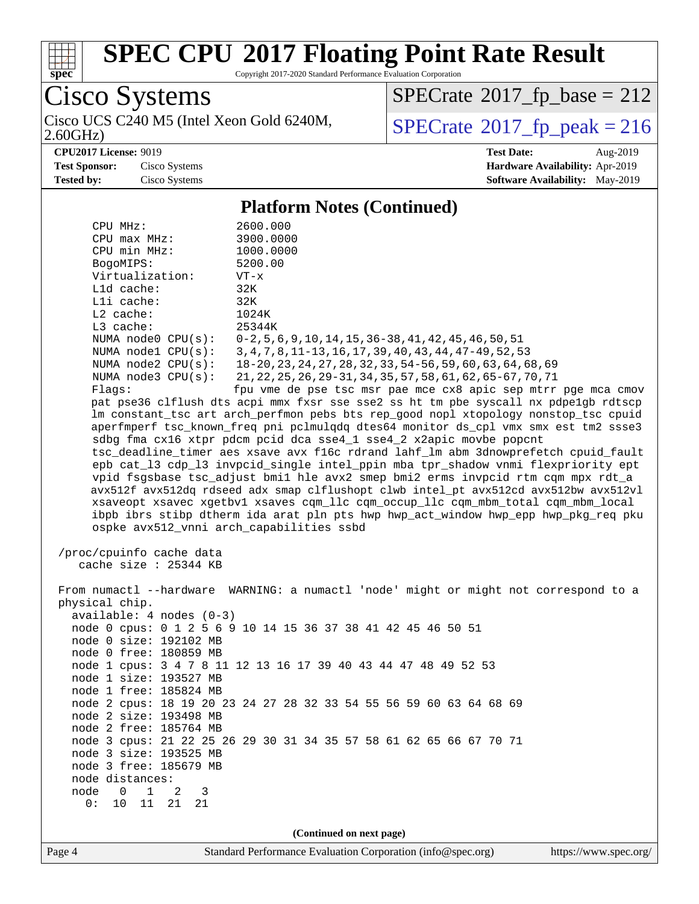

Copyright 2017-2020 Standard Performance Evaluation Corporation

Cisco Systems 2.60GHz)

 $SPECTate$ <sup>®</sup>[2017\\_fp\\_base =](http://www.spec.org/auto/cpu2017/Docs/result-fields.html#SPECrate2017fpbase) 212

Cisco UCS C240 M5 (Intel Xeon Gold 6240M,  $SPECrate@2017_fp\_peak = 216$  $SPECrate@2017_fp\_peak = 216$ 

**[CPU2017 License:](http://www.spec.org/auto/cpu2017/Docs/result-fields.html#CPU2017License)** 9019 **[Test Date:](http://www.spec.org/auto/cpu2017/Docs/result-fields.html#TestDate)** Aug-2019 **[Test Sponsor:](http://www.spec.org/auto/cpu2017/Docs/result-fields.html#TestSponsor)** Cisco Systems **[Hardware Availability:](http://www.spec.org/auto/cpu2017/Docs/result-fields.html#HardwareAvailability)** Apr-2019 **[Tested by:](http://www.spec.org/auto/cpu2017/Docs/result-fields.html#Testedby)** Cisco Systems **[Software Availability:](http://www.spec.org/auto/cpu2017/Docs/result-fields.html#SoftwareAvailability)** May-2019

#### **[Platform Notes \(Continued\)](http://www.spec.org/auto/cpu2017/Docs/result-fields.html#PlatformNotes)**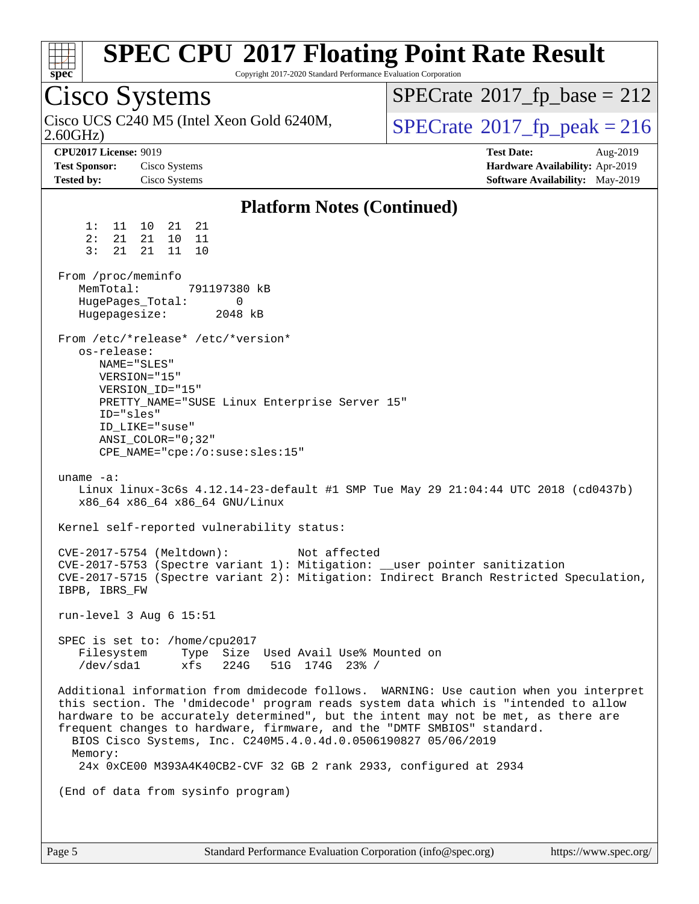| <b>SPEC CPU®2017 Floating Point Rate Result</b><br>Copyright 2017-2020 Standard Performance Evaluation Corporation<br>$spec^*$                                                                                                                                                                                                                                                                                                                                                                                                                                                                                                                                                                                                                                                                                                                                                                                                     |                                                                                                            |
|------------------------------------------------------------------------------------------------------------------------------------------------------------------------------------------------------------------------------------------------------------------------------------------------------------------------------------------------------------------------------------------------------------------------------------------------------------------------------------------------------------------------------------------------------------------------------------------------------------------------------------------------------------------------------------------------------------------------------------------------------------------------------------------------------------------------------------------------------------------------------------------------------------------------------------|------------------------------------------------------------------------------------------------------------|
| Cisco Systems                                                                                                                                                                                                                                                                                                                                                                                                                                                                                                                                                                                                                                                                                                                                                                                                                                                                                                                      | $SPECrate^{\circ}2017$ _fp_base = 212                                                                      |
| Cisco UCS C240 M5 (Intel Xeon Gold 6240M,<br>2.60GHz                                                                                                                                                                                                                                                                                                                                                                                                                                                                                                                                                                                                                                                                                                                                                                                                                                                                               | $SPECTate@2017_fp\_peak = 216$                                                                             |
| <b>CPU2017 License: 9019</b><br><b>Test Sponsor:</b><br>Cisco Systems<br><b>Tested by:</b><br>Cisco Systems                                                                                                                                                                                                                                                                                                                                                                                                                                                                                                                                                                                                                                                                                                                                                                                                                        | <b>Test Date:</b><br>Aug-2019<br>Hardware Availability: Apr-2019<br><b>Software Availability:</b> May-2019 |
|                                                                                                                                                                                                                                                                                                                                                                                                                                                                                                                                                                                                                                                                                                                                                                                                                                                                                                                                    |                                                                                                            |
| <b>Platform Notes (Continued)</b><br>1:<br>11 10<br>21 21<br>2:<br>21<br>21<br>10<br>11<br>3:<br>21<br>21 11<br>10<br>From /proc/meminfo<br>MemTotal:<br>791197380 kB<br>HugePages_Total:<br>0<br>Hugepagesize:<br>2048 kB<br>From /etc/*release* /etc/*version*<br>os-release:<br>NAME="SLES"<br>VERSION="15"<br>VERSION_ID="15"<br>PRETTY_NAME="SUSE Linux Enterprise Server 15"<br>ID="sles"<br>ID_LIKE="suse"<br>ANSI COLOR="0;32"<br>CPE_NAME="cpe:/o:suse:sles:15"<br>uname $-a$ :<br>Linux linux-3c6s 4.12.14-23-default #1 SMP Tue May 29 21:04:44 UTC 2018 (cd0437b)<br>x86_64 x86_64 x86_64 GNU/Linux<br>Kernel self-reported vulnerability status:<br>CVE-2017-5754 (Meltdown):<br>Not affected<br>CVE-2017-5753 (Spectre variant 1): Mitigation: __user pointer sanitization<br>CVE-2017-5715 (Spectre variant 2): Mitigation: Indirect Branch Restricted Speculation,<br>IBPB, IBRS_FW<br>run-level $3$ Aug $6$ 15:51 |                                                                                                            |
| SPEC is set to: /home/cpu2017<br>Filesystem<br>Type Size Used Avail Use% Mounted on<br>/dev/sda1<br>xfs<br>224G<br>51G 174G 23% /                                                                                                                                                                                                                                                                                                                                                                                                                                                                                                                                                                                                                                                                                                                                                                                                  |                                                                                                            |
| Additional information from dmidecode follows. WARNING: Use caution when you interpret<br>this section. The 'dmidecode' program reads system data which is "intended to allow<br>hardware to be accurately determined", but the intent may not be met, as there are<br>frequent changes to hardware, firmware, and the "DMTF SMBIOS" standard.<br>BIOS Cisco Systems, Inc. C240M5.4.0.4d.0.0506190827 05/06/2019<br>Memory:<br>24x 0xCE00 M393A4K40CB2-CVF 32 GB 2 rank 2933, configured at 2934                                                                                                                                                                                                                                                                                                                                                                                                                                   |                                                                                                            |
| (End of data from sysinfo program)                                                                                                                                                                                                                                                                                                                                                                                                                                                                                                                                                                                                                                                                                                                                                                                                                                                                                                 |                                                                                                            |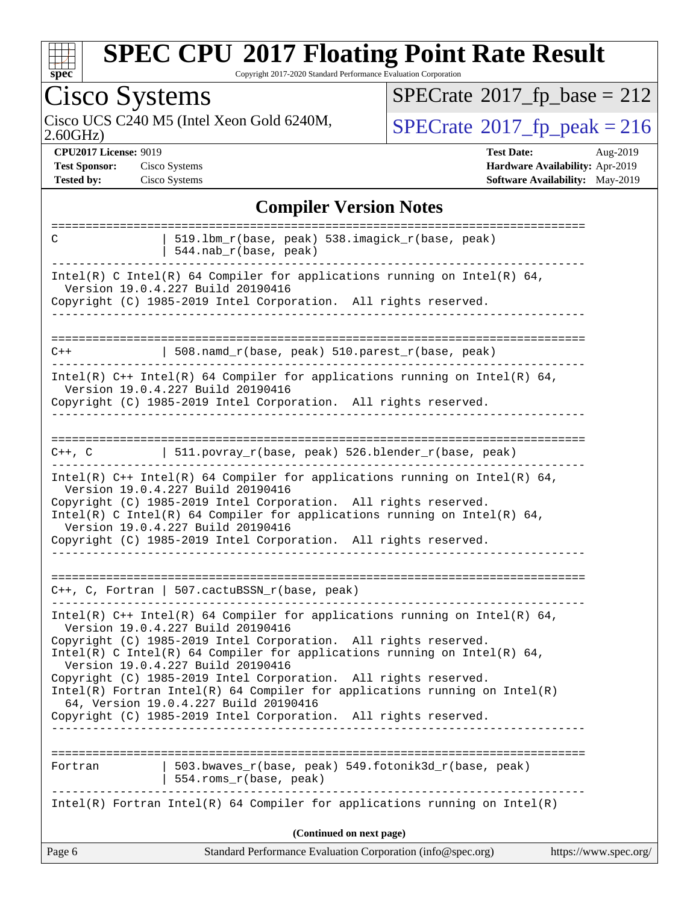

Copyright 2017-2020 Standard Performance Evaluation Corporation

|                                                                           | <b>Cisco Systems</b>                                                                                                                                                                                                                                                                                                                                                                                                                                                                                                                                               | $SPECTate$ <sup>®</sup> 2017_fp_base = 212                                                          |
|---------------------------------------------------------------------------|--------------------------------------------------------------------------------------------------------------------------------------------------------------------------------------------------------------------------------------------------------------------------------------------------------------------------------------------------------------------------------------------------------------------------------------------------------------------------------------------------------------------------------------------------------------------|-----------------------------------------------------------------------------------------------------|
| 2.60GHz                                                                   | Cisco UCS C240 M5 (Intel Xeon Gold 6240M,                                                                                                                                                                                                                                                                                                                                                                                                                                                                                                                          | $SPECrate^{\circ}2017$ _fp_peak = 216                                                               |
| <b>CPU2017 License: 9019</b><br><b>Test Sponsor:</b><br><b>Tested by:</b> | Cisco Systems<br>Cisco Systems                                                                                                                                                                                                                                                                                                                                                                                                                                                                                                                                     | <b>Test Date:</b><br>Aug-2019<br>Hardware Availability: Apr-2019<br>Software Availability: May-2019 |
|                                                                           | <b>Compiler Version Notes</b>                                                                                                                                                                                                                                                                                                                                                                                                                                                                                                                                      |                                                                                                     |
| C                                                                         | 519.1bm_r(base, peak) 538.imagick_r(base, peak)<br>544.nab_r(base, peak)                                                                                                                                                                                                                                                                                                                                                                                                                                                                                           |                                                                                                     |
|                                                                           | Intel(R) C Intel(R) 64 Compiler for applications running on Intel(R) 64,<br>Version 19.0.4.227 Build 20190416<br>Copyright (C) 1985-2019 Intel Corporation. All rights reserved.                                                                                                                                                                                                                                                                                                                                                                                   |                                                                                                     |
| $C++$                                                                     | 508.namd_r(base, peak) 510.parest_r(base, peak)                                                                                                                                                                                                                                                                                                                                                                                                                                                                                                                    |                                                                                                     |
|                                                                           | Intel(R) $C++$ Intel(R) 64 Compiler for applications running on Intel(R) 64,<br>Version 19.0.4.227 Build 20190416<br>Copyright (C) 1985-2019 Intel Corporation. All rights reserved.                                                                                                                                                                                                                                                                                                                                                                               |                                                                                                     |
| $C++$ , $C$                                                               | 511.povray_r(base, peak) 526.blender_r(base, peak)                                                                                                                                                                                                                                                                                                                                                                                                                                                                                                                 |                                                                                                     |
|                                                                           |                                                                                                                                                                                                                                                                                                                                                                                                                                                                                                                                                                    |                                                                                                     |
|                                                                           | Intel(R) $C++$ Intel(R) 64 Compiler for applications running on Intel(R) 64,<br>Version 19.0.4.227 Build 20190416<br>Copyright (C) 1985-2019 Intel Corporation. All rights reserved.<br>Intel(R) C Intel(R) 64 Compiler for applications running on Intel(R) 64,<br>Version 19.0.4.227 Build 20190416<br>Copyright (C) 1985-2019 Intel Corporation. All rights reserved.                                                                                                                                                                                           |                                                                                                     |
|                                                                           | C++, C, Fortran   507.cactuBSSN_r(base, peak)                                                                                                                                                                                                                                                                                                                                                                                                                                                                                                                      |                                                                                                     |
|                                                                           | Intel(R) C++ Intel(R) 64 Compiler for applications running on Intel(R) 64,<br>Version 19.0.4.227 Build 20190416<br>Copyright (C) 1985-2019 Intel Corporation. All rights reserved.<br>Intel(R) C Intel(R) 64 Compiler for applications running on Intel(R) 64,<br>Version 19.0.4.227 Build 20190416<br>Copyright (C) 1985-2019 Intel Corporation. All rights reserved.<br>$Intel(R)$ Fortran Intel(R) 64 Compiler for applications running on Intel(R)<br>64, Version 19.0.4.227 Build 20190416<br>Copyright (C) 1985-2019 Intel Corporation. All rights reserved. |                                                                                                     |

**(Continued on next page)**

| Page 6 | Standard Performance Evaluation Corporation (info@spec.org) | https://www.spec.org/ |
|--------|-------------------------------------------------------------|-----------------------|
|--------|-------------------------------------------------------------|-----------------------|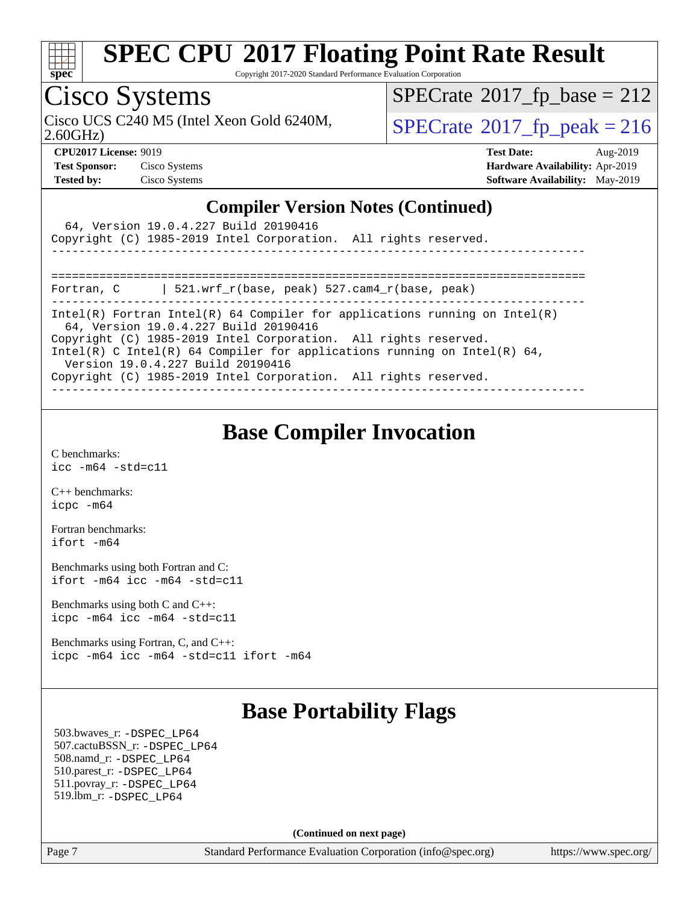

Copyright 2017-2020 Standard Performance Evaluation Corporation

## Cisco Systems

 $SPECTate$ <sup>®</sup>[2017\\_fp\\_base =](http://www.spec.org/auto/cpu2017/Docs/result-fields.html#SPECrate2017fpbase) 212

Cisco UCS C240 M5 (Intel Xeon Gold 6240M,  $SPECrate@2017_fp\_peak = 216$  $SPECrate@2017_fp\_peak = 216$ 

2.60GHz)

**[CPU2017 License:](http://www.spec.org/auto/cpu2017/Docs/result-fields.html#CPU2017License)** 9019 **[Test Date:](http://www.spec.org/auto/cpu2017/Docs/result-fields.html#TestDate)** Aug-2019 **[Test Sponsor:](http://www.spec.org/auto/cpu2017/Docs/result-fields.html#TestSponsor)** Cisco Systems **[Hardware Availability:](http://www.spec.org/auto/cpu2017/Docs/result-fields.html#HardwareAvailability)** Apr-2019 **[Tested by:](http://www.spec.org/auto/cpu2017/Docs/result-fields.html#Testedby)** Cisco Systems **[Software Availability:](http://www.spec.org/auto/cpu2017/Docs/result-fields.html#SoftwareAvailability)** May-2019

#### **[Compiler Version Notes \(Continued\)](http://www.spec.org/auto/cpu2017/Docs/result-fields.html#CompilerVersionNotes)**

| 64, Version 19.0.4.227 Build 20190416<br>Copyright (C) 1985-2019 Intel Corporation. All rights reserved.            |
|---------------------------------------------------------------------------------------------------------------------|
|                                                                                                                     |
| 521.wrf r(base, peak) 527.cam4 r(base, peak)<br>Fortran, C                                                          |
| Intel(R) Fortran Intel(R) 64 Compiler for applications running on Intel(R)<br>64, Version 19.0.4.227 Build 20190416 |
| Copyright (C) 1985-2019 Intel Corporation. All rights reserved.                                                     |
| Intel(R) C Intel(R) 64 Compiler for applications running on Intel(R) 64,<br>Version 19.0.4.227 Build 20190416       |
| Copyright (C) 1985-2019 Intel Corporation. All rights reserved.                                                     |

### **[Base Compiler Invocation](http://www.spec.org/auto/cpu2017/Docs/result-fields.html#BaseCompilerInvocation)**

[C benchmarks](http://www.spec.org/auto/cpu2017/Docs/result-fields.html#Cbenchmarks): [icc -m64 -std=c11](http://www.spec.org/cpu2017/results/res2019q3/cpu2017-20190819-16782.flags.html#user_CCbase_intel_icc_64bit_c11_33ee0cdaae7deeeab2a9725423ba97205ce30f63b9926c2519791662299b76a0318f32ddfffdc46587804de3178b4f9328c46fa7c2b0cd779d7a61945c91cd35)

[C++ benchmarks:](http://www.spec.org/auto/cpu2017/Docs/result-fields.html#CXXbenchmarks) [icpc -m64](http://www.spec.org/cpu2017/results/res2019q3/cpu2017-20190819-16782.flags.html#user_CXXbase_intel_icpc_64bit_4ecb2543ae3f1412ef961e0650ca070fec7b7afdcd6ed48761b84423119d1bf6bdf5cad15b44d48e7256388bc77273b966e5eb805aefd121eb22e9299b2ec9d9)

[Fortran benchmarks](http://www.spec.org/auto/cpu2017/Docs/result-fields.html#Fortranbenchmarks): [ifort -m64](http://www.spec.org/cpu2017/results/res2019q3/cpu2017-20190819-16782.flags.html#user_FCbase_intel_ifort_64bit_24f2bb282fbaeffd6157abe4f878425411749daecae9a33200eee2bee2fe76f3b89351d69a8130dd5949958ce389cf37ff59a95e7a40d588e8d3a57e0c3fd751)

[Benchmarks using both Fortran and C](http://www.spec.org/auto/cpu2017/Docs/result-fields.html#BenchmarksusingbothFortranandC): [ifort -m64](http://www.spec.org/cpu2017/results/res2019q3/cpu2017-20190819-16782.flags.html#user_CC_FCbase_intel_ifort_64bit_24f2bb282fbaeffd6157abe4f878425411749daecae9a33200eee2bee2fe76f3b89351d69a8130dd5949958ce389cf37ff59a95e7a40d588e8d3a57e0c3fd751) [icc -m64 -std=c11](http://www.spec.org/cpu2017/results/res2019q3/cpu2017-20190819-16782.flags.html#user_CC_FCbase_intel_icc_64bit_c11_33ee0cdaae7deeeab2a9725423ba97205ce30f63b9926c2519791662299b76a0318f32ddfffdc46587804de3178b4f9328c46fa7c2b0cd779d7a61945c91cd35)

[Benchmarks using both C and C++](http://www.spec.org/auto/cpu2017/Docs/result-fields.html#BenchmarksusingbothCandCXX): [icpc -m64](http://www.spec.org/cpu2017/results/res2019q3/cpu2017-20190819-16782.flags.html#user_CC_CXXbase_intel_icpc_64bit_4ecb2543ae3f1412ef961e0650ca070fec7b7afdcd6ed48761b84423119d1bf6bdf5cad15b44d48e7256388bc77273b966e5eb805aefd121eb22e9299b2ec9d9) [icc -m64 -std=c11](http://www.spec.org/cpu2017/results/res2019q3/cpu2017-20190819-16782.flags.html#user_CC_CXXbase_intel_icc_64bit_c11_33ee0cdaae7deeeab2a9725423ba97205ce30f63b9926c2519791662299b76a0318f32ddfffdc46587804de3178b4f9328c46fa7c2b0cd779d7a61945c91cd35)

[Benchmarks using Fortran, C, and C++:](http://www.spec.org/auto/cpu2017/Docs/result-fields.html#BenchmarksusingFortranCandCXX) [icpc -m64](http://www.spec.org/cpu2017/results/res2019q3/cpu2017-20190819-16782.flags.html#user_CC_CXX_FCbase_intel_icpc_64bit_4ecb2543ae3f1412ef961e0650ca070fec7b7afdcd6ed48761b84423119d1bf6bdf5cad15b44d48e7256388bc77273b966e5eb805aefd121eb22e9299b2ec9d9) [icc -m64 -std=c11](http://www.spec.org/cpu2017/results/res2019q3/cpu2017-20190819-16782.flags.html#user_CC_CXX_FCbase_intel_icc_64bit_c11_33ee0cdaae7deeeab2a9725423ba97205ce30f63b9926c2519791662299b76a0318f32ddfffdc46587804de3178b4f9328c46fa7c2b0cd779d7a61945c91cd35) [ifort -m64](http://www.spec.org/cpu2017/results/res2019q3/cpu2017-20190819-16782.flags.html#user_CC_CXX_FCbase_intel_ifort_64bit_24f2bb282fbaeffd6157abe4f878425411749daecae9a33200eee2bee2fe76f3b89351d69a8130dd5949958ce389cf37ff59a95e7a40d588e8d3a57e0c3fd751)

### **[Base Portability Flags](http://www.spec.org/auto/cpu2017/Docs/result-fields.html#BasePortabilityFlags)**

 503.bwaves\_r: [-DSPEC\\_LP64](http://www.spec.org/cpu2017/results/res2019q3/cpu2017-20190819-16782.flags.html#suite_basePORTABILITY503_bwaves_r_DSPEC_LP64) 507.cactuBSSN\_r: [-DSPEC\\_LP64](http://www.spec.org/cpu2017/results/res2019q3/cpu2017-20190819-16782.flags.html#suite_basePORTABILITY507_cactuBSSN_r_DSPEC_LP64) 508.namd\_r: [-DSPEC\\_LP64](http://www.spec.org/cpu2017/results/res2019q3/cpu2017-20190819-16782.flags.html#suite_basePORTABILITY508_namd_r_DSPEC_LP64) 510.parest\_r: [-DSPEC\\_LP64](http://www.spec.org/cpu2017/results/res2019q3/cpu2017-20190819-16782.flags.html#suite_basePORTABILITY510_parest_r_DSPEC_LP64) 511.povray\_r: [-DSPEC\\_LP64](http://www.spec.org/cpu2017/results/res2019q3/cpu2017-20190819-16782.flags.html#suite_basePORTABILITY511_povray_r_DSPEC_LP64) 519.lbm\_r: [-DSPEC\\_LP64](http://www.spec.org/cpu2017/results/res2019q3/cpu2017-20190819-16782.flags.html#suite_basePORTABILITY519_lbm_r_DSPEC_LP64)

**(Continued on next page)**

Page 7 Standard Performance Evaluation Corporation [\(info@spec.org\)](mailto:info@spec.org) <https://www.spec.org/>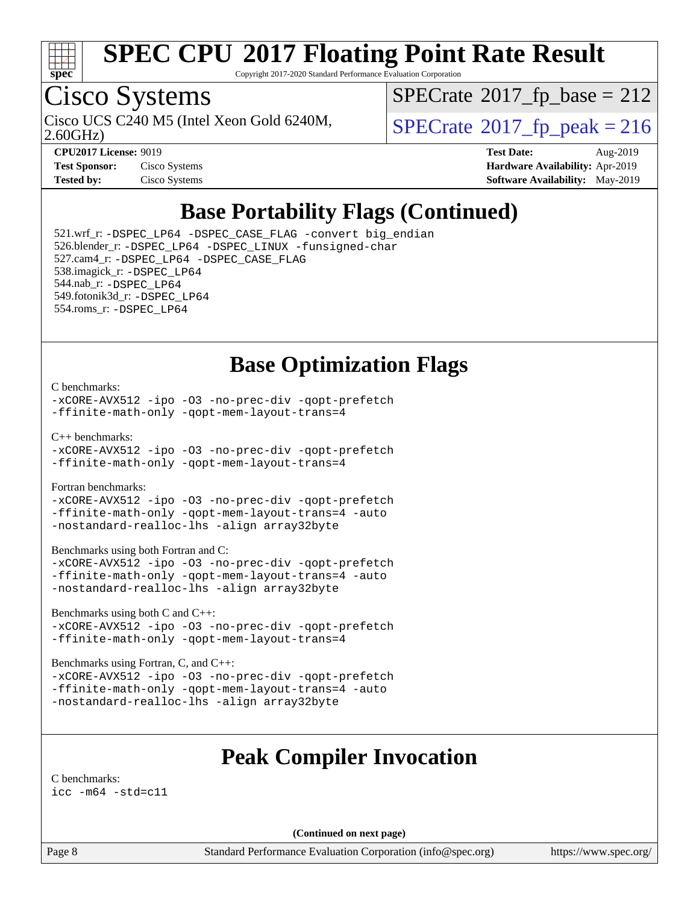

Copyright 2017-2020 Standard Performance Evaluation Corporation

# Cisco Systems

2.60GHz) Cisco UCS C240 M5 (Intel Xeon Gold 6240M,  $SPECrate@2017_fp\_peak = 216$  $SPECrate@2017_fp\_peak = 216$ 

 $SPECTate$ <sup>®</sup>[2017\\_fp\\_base =](http://www.spec.org/auto/cpu2017/Docs/result-fields.html#SPECrate2017fpbase) 212

| <b>Test Sponsor:</b> | Cisco Systems |
|----------------------|---------------|
| <b>Tested by:</b>    | Cisco Systems |

**[CPU2017 License:](http://www.spec.org/auto/cpu2017/Docs/result-fields.html#CPU2017License)** 9019 **[Test Date:](http://www.spec.org/auto/cpu2017/Docs/result-fields.html#TestDate)** Aug-2019 **[Hardware Availability:](http://www.spec.org/auto/cpu2017/Docs/result-fields.html#HardwareAvailability)** Apr-2019 **[Software Availability:](http://www.spec.org/auto/cpu2017/Docs/result-fields.html#SoftwareAvailability)** May-2019

### **[Base Portability Flags \(Continued\)](http://www.spec.org/auto/cpu2017/Docs/result-fields.html#BasePortabilityFlags)**

 521.wrf\_r: [-DSPEC\\_LP64](http://www.spec.org/cpu2017/results/res2019q3/cpu2017-20190819-16782.flags.html#suite_basePORTABILITY521_wrf_r_DSPEC_LP64) [-DSPEC\\_CASE\\_FLAG](http://www.spec.org/cpu2017/results/res2019q3/cpu2017-20190819-16782.flags.html#b521.wrf_r_baseCPORTABILITY_DSPEC_CASE_FLAG) [-convert big\\_endian](http://www.spec.org/cpu2017/results/res2019q3/cpu2017-20190819-16782.flags.html#user_baseFPORTABILITY521_wrf_r_convert_big_endian_c3194028bc08c63ac5d04de18c48ce6d347e4e562e8892b8bdbdc0214820426deb8554edfa529a3fb25a586e65a3d812c835984020483e7e73212c4d31a38223) 526.blender\_r: [-DSPEC\\_LP64](http://www.spec.org/cpu2017/results/res2019q3/cpu2017-20190819-16782.flags.html#suite_basePORTABILITY526_blender_r_DSPEC_LP64) [-DSPEC\\_LINUX](http://www.spec.org/cpu2017/results/res2019q3/cpu2017-20190819-16782.flags.html#b526.blender_r_baseCPORTABILITY_DSPEC_LINUX) [-funsigned-char](http://www.spec.org/cpu2017/results/res2019q3/cpu2017-20190819-16782.flags.html#user_baseCPORTABILITY526_blender_r_force_uchar_40c60f00ab013830e2dd6774aeded3ff59883ba5a1fc5fc14077f794d777847726e2a5858cbc7672e36e1b067e7e5c1d9a74f7176df07886a243d7cc18edfe67) 527.cam4\_r: [-DSPEC\\_LP64](http://www.spec.org/cpu2017/results/res2019q3/cpu2017-20190819-16782.flags.html#suite_basePORTABILITY527_cam4_r_DSPEC_LP64) [-DSPEC\\_CASE\\_FLAG](http://www.spec.org/cpu2017/results/res2019q3/cpu2017-20190819-16782.flags.html#b527.cam4_r_baseCPORTABILITY_DSPEC_CASE_FLAG) 538.imagick\_r: [-DSPEC\\_LP64](http://www.spec.org/cpu2017/results/res2019q3/cpu2017-20190819-16782.flags.html#suite_basePORTABILITY538_imagick_r_DSPEC_LP64) 544.nab\_r: [-DSPEC\\_LP64](http://www.spec.org/cpu2017/results/res2019q3/cpu2017-20190819-16782.flags.html#suite_basePORTABILITY544_nab_r_DSPEC_LP64) 549.fotonik3d\_r: [-DSPEC\\_LP64](http://www.spec.org/cpu2017/results/res2019q3/cpu2017-20190819-16782.flags.html#suite_basePORTABILITY549_fotonik3d_r_DSPEC_LP64) 554.roms\_r: [-DSPEC\\_LP64](http://www.spec.org/cpu2017/results/res2019q3/cpu2017-20190819-16782.flags.html#suite_basePORTABILITY554_roms_r_DSPEC_LP64)

### **[Base Optimization Flags](http://www.spec.org/auto/cpu2017/Docs/result-fields.html#BaseOptimizationFlags)**

#### [C benchmarks](http://www.spec.org/auto/cpu2017/Docs/result-fields.html#Cbenchmarks):

[-xCORE-AVX512](http://www.spec.org/cpu2017/results/res2019q3/cpu2017-20190819-16782.flags.html#user_CCbase_f-xCORE-AVX512) [-ipo](http://www.spec.org/cpu2017/results/res2019q3/cpu2017-20190819-16782.flags.html#user_CCbase_f-ipo) [-O3](http://www.spec.org/cpu2017/results/res2019q3/cpu2017-20190819-16782.flags.html#user_CCbase_f-O3) [-no-prec-div](http://www.spec.org/cpu2017/results/res2019q3/cpu2017-20190819-16782.flags.html#user_CCbase_f-no-prec-div) [-qopt-prefetch](http://www.spec.org/cpu2017/results/res2019q3/cpu2017-20190819-16782.flags.html#user_CCbase_f-qopt-prefetch) [-ffinite-math-only](http://www.spec.org/cpu2017/results/res2019q3/cpu2017-20190819-16782.flags.html#user_CCbase_f_finite_math_only_cb91587bd2077682c4b38af759c288ed7c732db004271a9512da14a4f8007909a5f1427ecbf1a0fb78ff2a814402c6114ac565ca162485bbcae155b5e4258871) [-qopt-mem-layout-trans=4](http://www.spec.org/cpu2017/results/res2019q3/cpu2017-20190819-16782.flags.html#user_CCbase_f-qopt-mem-layout-trans_fa39e755916c150a61361b7846f310bcdf6f04e385ef281cadf3647acec3f0ae266d1a1d22d972a7087a248fd4e6ca390a3634700869573d231a252c784941a8)

[C++ benchmarks:](http://www.spec.org/auto/cpu2017/Docs/result-fields.html#CXXbenchmarks)

[-xCORE-AVX512](http://www.spec.org/cpu2017/results/res2019q3/cpu2017-20190819-16782.flags.html#user_CXXbase_f-xCORE-AVX512) [-ipo](http://www.spec.org/cpu2017/results/res2019q3/cpu2017-20190819-16782.flags.html#user_CXXbase_f-ipo) [-O3](http://www.spec.org/cpu2017/results/res2019q3/cpu2017-20190819-16782.flags.html#user_CXXbase_f-O3) [-no-prec-div](http://www.spec.org/cpu2017/results/res2019q3/cpu2017-20190819-16782.flags.html#user_CXXbase_f-no-prec-div) [-qopt-prefetch](http://www.spec.org/cpu2017/results/res2019q3/cpu2017-20190819-16782.flags.html#user_CXXbase_f-qopt-prefetch) [-ffinite-math-only](http://www.spec.org/cpu2017/results/res2019q3/cpu2017-20190819-16782.flags.html#user_CXXbase_f_finite_math_only_cb91587bd2077682c4b38af759c288ed7c732db004271a9512da14a4f8007909a5f1427ecbf1a0fb78ff2a814402c6114ac565ca162485bbcae155b5e4258871) [-qopt-mem-layout-trans=4](http://www.spec.org/cpu2017/results/res2019q3/cpu2017-20190819-16782.flags.html#user_CXXbase_f-qopt-mem-layout-trans_fa39e755916c150a61361b7846f310bcdf6f04e385ef281cadf3647acec3f0ae266d1a1d22d972a7087a248fd4e6ca390a3634700869573d231a252c784941a8)

[Fortran benchmarks](http://www.spec.org/auto/cpu2017/Docs/result-fields.html#Fortranbenchmarks):

[-xCORE-AVX512](http://www.spec.org/cpu2017/results/res2019q3/cpu2017-20190819-16782.flags.html#user_FCbase_f-xCORE-AVX512) [-ipo](http://www.spec.org/cpu2017/results/res2019q3/cpu2017-20190819-16782.flags.html#user_FCbase_f-ipo) [-O3](http://www.spec.org/cpu2017/results/res2019q3/cpu2017-20190819-16782.flags.html#user_FCbase_f-O3) [-no-prec-div](http://www.spec.org/cpu2017/results/res2019q3/cpu2017-20190819-16782.flags.html#user_FCbase_f-no-prec-div) [-qopt-prefetch](http://www.spec.org/cpu2017/results/res2019q3/cpu2017-20190819-16782.flags.html#user_FCbase_f-qopt-prefetch) [-ffinite-math-only](http://www.spec.org/cpu2017/results/res2019q3/cpu2017-20190819-16782.flags.html#user_FCbase_f_finite_math_only_cb91587bd2077682c4b38af759c288ed7c732db004271a9512da14a4f8007909a5f1427ecbf1a0fb78ff2a814402c6114ac565ca162485bbcae155b5e4258871) [-qopt-mem-layout-trans=4](http://www.spec.org/cpu2017/results/res2019q3/cpu2017-20190819-16782.flags.html#user_FCbase_f-qopt-mem-layout-trans_fa39e755916c150a61361b7846f310bcdf6f04e385ef281cadf3647acec3f0ae266d1a1d22d972a7087a248fd4e6ca390a3634700869573d231a252c784941a8) [-auto](http://www.spec.org/cpu2017/results/res2019q3/cpu2017-20190819-16782.flags.html#user_FCbase_f-auto) [-nostandard-realloc-lhs](http://www.spec.org/cpu2017/results/res2019q3/cpu2017-20190819-16782.flags.html#user_FCbase_f_2003_std_realloc_82b4557e90729c0f113870c07e44d33d6f5a304b4f63d4c15d2d0f1fab99f5daaed73bdb9275d9ae411527f28b936061aa8b9c8f2d63842963b95c9dd6426b8a) [-align array32byte](http://www.spec.org/cpu2017/results/res2019q3/cpu2017-20190819-16782.flags.html#user_FCbase_align_array32byte_b982fe038af199962ba9a80c053b8342c548c85b40b8e86eb3cc33dee0d7986a4af373ac2d51c3f7cf710a18d62fdce2948f201cd044323541f22fc0fffc51b6)

[Benchmarks using both Fortran and C](http://www.spec.org/auto/cpu2017/Docs/result-fields.html#BenchmarksusingbothFortranandC):

[-xCORE-AVX512](http://www.spec.org/cpu2017/results/res2019q3/cpu2017-20190819-16782.flags.html#user_CC_FCbase_f-xCORE-AVX512) [-ipo](http://www.spec.org/cpu2017/results/res2019q3/cpu2017-20190819-16782.flags.html#user_CC_FCbase_f-ipo) [-O3](http://www.spec.org/cpu2017/results/res2019q3/cpu2017-20190819-16782.flags.html#user_CC_FCbase_f-O3) [-no-prec-div](http://www.spec.org/cpu2017/results/res2019q3/cpu2017-20190819-16782.flags.html#user_CC_FCbase_f-no-prec-div) [-qopt-prefetch](http://www.spec.org/cpu2017/results/res2019q3/cpu2017-20190819-16782.flags.html#user_CC_FCbase_f-qopt-prefetch) [-ffinite-math-only](http://www.spec.org/cpu2017/results/res2019q3/cpu2017-20190819-16782.flags.html#user_CC_FCbase_f_finite_math_only_cb91587bd2077682c4b38af759c288ed7c732db004271a9512da14a4f8007909a5f1427ecbf1a0fb78ff2a814402c6114ac565ca162485bbcae155b5e4258871) [-qopt-mem-layout-trans=4](http://www.spec.org/cpu2017/results/res2019q3/cpu2017-20190819-16782.flags.html#user_CC_FCbase_f-qopt-mem-layout-trans_fa39e755916c150a61361b7846f310bcdf6f04e385ef281cadf3647acec3f0ae266d1a1d22d972a7087a248fd4e6ca390a3634700869573d231a252c784941a8) [-auto](http://www.spec.org/cpu2017/results/res2019q3/cpu2017-20190819-16782.flags.html#user_CC_FCbase_f-auto) [-nostandard-realloc-lhs](http://www.spec.org/cpu2017/results/res2019q3/cpu2017-20190819-16782.flags.html#user_CC_FCbase_f_2003_std_realloc_82b4557e90729c0f113870c07e44d33d6f5a304b4f63d4c15d2d0f1fab99f5daaed73bdb9275d9ae411527f28b936061aa8b9c8f2d63842963b95c9dd6426b8a) [-align array32byte](http://www.spec.org/cpu2017/results/res2019q3/cpu2017-20190819-16782.flags.html#user_CC_FCbase_align_array32byte_b982fe038af199962ba9a80c053b8342c548c85b40b8e86eb3cc33dee0d7986a4af373ac2d51c3f7cf710a18d62fdce2948f201cd044323541f22fc0fffc51b6)

[Benchmarks using both C and C++](http://www.spec.org/auto/cpu2017/Docs/result-fields.html#BenchmarksusingbothCandCXX):

[-xCORE-AVX512](http://www.spec.org/cpu2017/results/res2019q3/cpu2017-20190819-16782.flags.html#user_CC_CXXbase_f-xCORE-AVX512) [-ipo](http://www.spec.org/cpu2017/results/res2019q3/cpu2017-20190819-16782.flags.html#user_CC_CXXbase_f-ipo) [-O3](http://www.spec.org/cpu2017/results/res2019q3/cpu2017-20190819-16782.flags.html#user_CC_CXXbase_f-O3) [-no-prec-div](http://www.spec.org/cpu2017/results/res2019q3/cpu2017-20190819-16782.flags.html#user_CC_CXXbase_f-no-prec-div) [-qopt-prefetch](http://www.spec.org/cpu2017/results/res2019q3/cpu2017-20190819-16782.flags.html#user_CC_CXXbase_f-qopt-prefetch) [-ffinite-math-only](http://www.spec.org/cpu2017/results/res2019q3/cpu2017-20190819-16782.flags.html#user_CC_CXXbase_f_finite_math_only_cb91587bd2077682c4b38af759c288ed7c732db004271a9512da14a4f8007909a5f1427ecbf1a0fb78ff2a814402c6114ac565ca162485bbcae155b5e4258871) [-qopt-mem-layout-trans=4](http://www.spec.org/cpu2017/results/res2019q3/cpu2017-20190819-16782.flags.html#user_CC_CXXbase_f-qopt-mem-layout-trans_fa39e755916c150a61361b7846f310bcdf6f04e385ef281cadf3647acec3f0ae266d1a1d22d972a7087a248fd4e6ca390a3634700869573d231a252c784941a8)

[Benchmarks using Fortran, C, and C++:](http://www.spec.org/auto/cpu2017/Docs/result-fields.html#BenchmarksusingFortranCandCXX)

[-xCORE-AVX512](http://www.spec.org/cpu2017/results/res2019q3/cpu2017-20190819-16782.flags.html#user_CC_CXX_FCbase_f-xCORE-AVX512) [-ipo](http://www.spec.org/cpu2017/results/res2019q3/cpu2017-20190819-16782.flags.html#user_CC_CXX_FCbase_f-ipo) [-O3](http://www.spec.org/cpu2017/results/res2019q3/cpu2017-20190819-16782.flags.html#user_CC_CXX_FCbase_f-O3) [-no-prec-div](http://www.spec.org/cpu2017/results/res2019q3/cpu2017-20190819-16782.flags.html#user_CC_CXX_FCbase_f-no-prec-div) [-qopt-prefetch](http://www.spec.org/cpu2017/results/res2019q3/cpu2017-20190819-16782.flags.html#user_CC_CXX_FCbase_f-qopt-prefetch) [-ffinite-math-only](http://www.spec.org/cpu2017/results/res2019q3/cpu2017-20190819-16782.flags.html#user_CC_CXX_FCbase_f_finite_math_only_cb91587bd2077682c4b38af759c288ed7c732db004271a9512da14a4f8007909a5f1427ecbf1a0fb78ff2a814402c6114ac565ca162485bbcae155b5e4258871) [-qopt-mem-layout-trans=4](http://www.spec.org/cpu2017/results/res2019q3/cpu2017-20190819-16782.flags.html#user_CC_CXX_FCbase_f-qopt-mem-layout-trans_fa39e755916c150a61361b7846f310bcdf6f04e385ef281cadf3647acec3f0ae266d1a1d22d972a7087a248fd4e6ca390a3634700869573d231a252c784941a8) [-auto](http://www.spec.org/cpu2017/results/res2019q3/cpu2017-20190819-16782.flags.html#user_CC_CXX_FCbase_f-auto) [-nostandard-realloc-lhs](http://www.spec.org/cpu2017/results/res2019q3/cpu2017-20190819-16782.flags.html#user_CC_CXX_FCbase_f_2003_std_realloc_82b4557e90729c0f113870c07e44d33d6f5a304b4f63d4c15d2d0f1fab99f5daaed73bdb9275d9ae411527f28b936061aa8b9c8f2d63842963b95c9dd6426b8a) [-align array32byte](http://www.spec.org/cpu2017/results/res2019q3/cpu2017-20190819-16782.flags.html#user_CC_CXX_FCbase_align_array32byte_b982fe038af199962ba9a80c053b8342c548c85b40b8e86eb3cc33dee0d7986a4af373ac2d51c3f7cf710a18d62fdce2948f201cd044323541f22fc0fffc51b6)

### **[Peak Compiler Invocation](http://www.spec.org/auto/cpu2017/Docs/result-fields.html#PeakCompilerInvocation)**

[C benchmarks](http://www.spec.org/auto/cpu2017/Docs/result-fields.html#Cbenchmarks): [icc -m64 -std=c11](http://www.spec.org/cpu2017/results/res2019q3/cpu2017-20190819-16782.flags.html#user_CCpeak_intel_icc_64bit_c11_33ee0cdaae7deeeab2a9725423ba97205ce30f63b9926c2519791662299b76a0318f32ddfffdc46587804de3178b4f9328c46fa7c2b0cd779d7a61945c91cd35)

**(Continued on next page)**

Page 8 Standard Performance Evaluation Corporation [\(info@spec.org\)](mailto:info@spec.org) <https://www.spec.org/>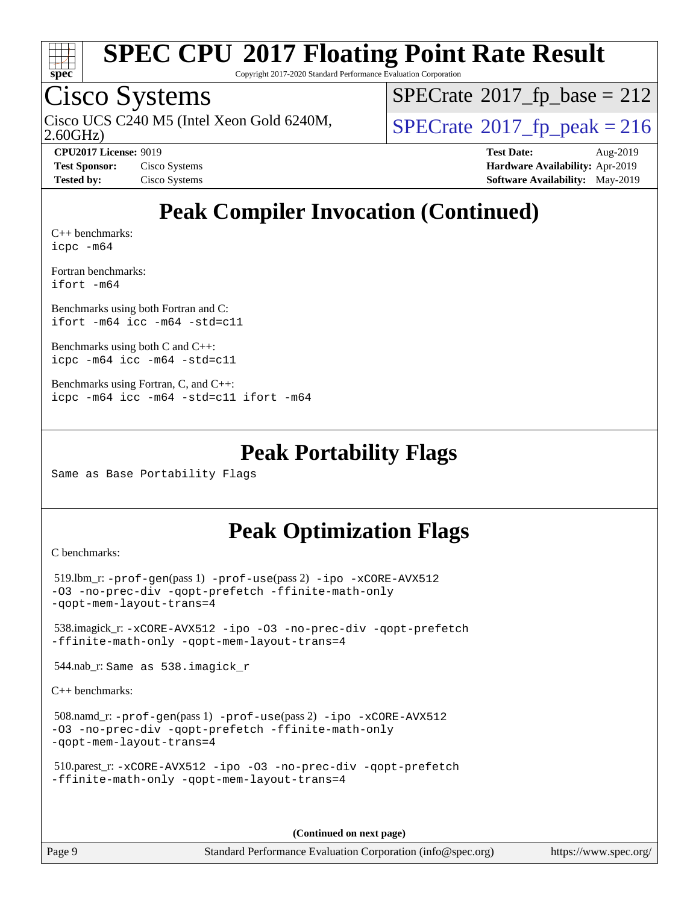

Copyright 2017-2020 Standard Performance Evaluation Corporation

### Cisco Systems

2.60GHz) Cisco UCS C240 M5 (Intel Xeon Gold 6240M,  $SPECrate@2017_fp\_peak = 216$  $SPECrate@2017_fp\_peak = 216$ 

 $SPECTate$ <sup>®</sup>[2017\\_fp\\_base =](http://www.spec.org/auto/cpu2017/Docs/result-fields.html#SPECrate2017fpbase) 212

**[CPU2017 License:](http://www.spec.org/auto/cpu2017/Docs/result-fields.html#CPU2017License)** 9019 **[Test Date:](http://www.spec.org/auto/cpu2017/Docs/result-fields.html#TestDate)** Aug-2019 **[Test Sponsor:](http://www.spec.org/auto/cpu2017/Docs/result-fields.html#TestSponsor)** Cisco Systems **[Hardware Availability:](http://www.spec.org/auto/cpu2017/Docs/result-fields.html#HardwareAvailability)** Apr-2019 **[Tested by:](http://www.spec.org/auto/cpu2017/Docs/result-fields.html#Testedby)** Cisco Systems **[Software Availability:](http://www.spec.org/auto/cpu2017/Docs/result-fields.html#SoftwareAvailability)** May-2019

### **[Peak Compiler Invocation \(Continued\)](http://www.spec.org/auto/cpu2017/Docs/result-fields.html#PeakCompilerInvocation)**

[C++ benchmarks:](http://www.spec.org/auto/cpu2017/Docs/result-fields.html#CXXbenchmarks) [icpc -m64](http://www.spec.org/cpu2017/results/res2019q3/cpu2017-20190819-16782.flags.html#user_CXXpeak_intel_icpc_64bit_4ecb2543ae3f1412ef961e0650ca070fec7b7afdcd6ed48761b84423119d1bf6bdf5cad15b44d48e7256388bc77273b966e5eb805aefd121eb22e9299b2ec9d9)

[Fortran benchmarks](http://www.spec.org/auto/cpu2017/Docs/result-fields.html#Fortranbenchmarks): [ifort -m64](http://www.spec.org/cpu2017/results/res2019q3/cpu2017-20190819-16782.flags.html#user_FCpeak_intel_ifort_64bit_24f2bb282fbaeffd6157abe4f878425411749daecae9a33200eee2bee2fe76f3b89351d69a8130dd5949958ce389cf37ff59a95e7a40d588e8d3a57e0c3fd751)

[Benchmarks using both Fortran and C](http://www.spec.org/auto/cpu2017/Docs/result-fields.html#BenchmarksusingbothFortranandC): [ifort -m64](http://www.spec.org/cpu2017/results/res2019q3/cpu2017-20190819-16782.flags.html#user_CC_FCpeak_intel_ifort_64bit_24f2bb282fbaeffd6157abe4f878425411749daecae9a33200eee2bee2fe76f3b89351d69a8130dd5949958ce389cf37ff59a95e7a40d588e8d3a57e0c3fd751) [icc -m64 -std=c11](http://www.spec.org/cpu2017/results/res2019q3/cpu2017-20190819-16782.flags.html#user_CC_FCpeak_intel_icc_64bit_c11_33ee0cdaae7deeeab2a9725423ba97205ce30f63b9926c2519791662299b76a0318f32ddfffdc46587804de3178b4f9328c46fa7c2b0cd779d7a61945c91cd35)

[Benchmarks using both C and C++](http://www.spec.org/auto/cpu2017/Docs/result-fields.html#BenchmarksusingbothCandCXX): [icpc -m64](http://www.spec.org/cpu2017/results/res2019q3/cpu2017-20190819-16782.flags.html#user_CC_CXXpeak_intel_icpc_64bit_4ecb2543ae3f1412ef961e0650ca070fec7b7afdcd6ed48761b84423119d1bf6bdf5cad15b44d48e7256388bc77273b966e5eb805aefd121eb22e9299b2ec9d9) [icc -m64 -std=c11](http://www.spec.org/cpu2017/results/res2019q3/cpu2017-20190819-16782.flags.html#user_CC_CXXpeak_intel_icc_64bit_c11_33ee0cdaae7deeeab2a9725423ba97205ce30f63b9926c2519791662299b76a0318f32ddfffdc46587804de3178b4f9328c46fa7c2b0cd779d7a61945c91cd35)

```
Benchmarks using Fortran, C, and C++: 
icpc -m64 icc -m64 -std=c11 ifort -m64
```
#### **[Peak Portability Flags](http://www.spec.org/auto/cpu2017/Docs/result-fields.html#PeakPortabilityFlags)**

Same as Base Portability Flags

### **[Peak Optimization Flags](http://www.spec.org/auto/cpu2017/Docs/result-fields.html#PeakOptimizationFlags)**

[C benchmarks](http://www.spec.org/auto/cpu2017/Docs/result-fields.html#Cbenchmarks):

```
 519.lbm_r: -prof-gen(pass 1) -prof-use(pass 2) -ipo -xCORE-AVX512
-O3 -no-prec-div -qopt-prefetch -ffinite-math-only
-qopt-mem-layout-trans=4
 538.imagick_r: -xCORE-AVX512 -ipo -O3 -no-prec-div -qopt-prefetch
-ffinite-math-only -qopt-mem-layout-trans=4
 544.nab_r: Same as 538.imagick_r
C++ benchmarks: 
 508.namd_r: -prof-gen(pass 1) -prof-use(pass 2) -ipo -xCORE-AVX512
-O3 -no-prec-div -qopt-prefetch -ffinite-math-only
```

```
-qopt-mem-layout-trans=4
```

```
 510.parest_r: -xCORE-AVX512 -ipo -O3 -no-prec-div -qopt-prefetch
-ffinite-math-only -qopt-mem-layout-trans=4
```
**(Continued on next page)**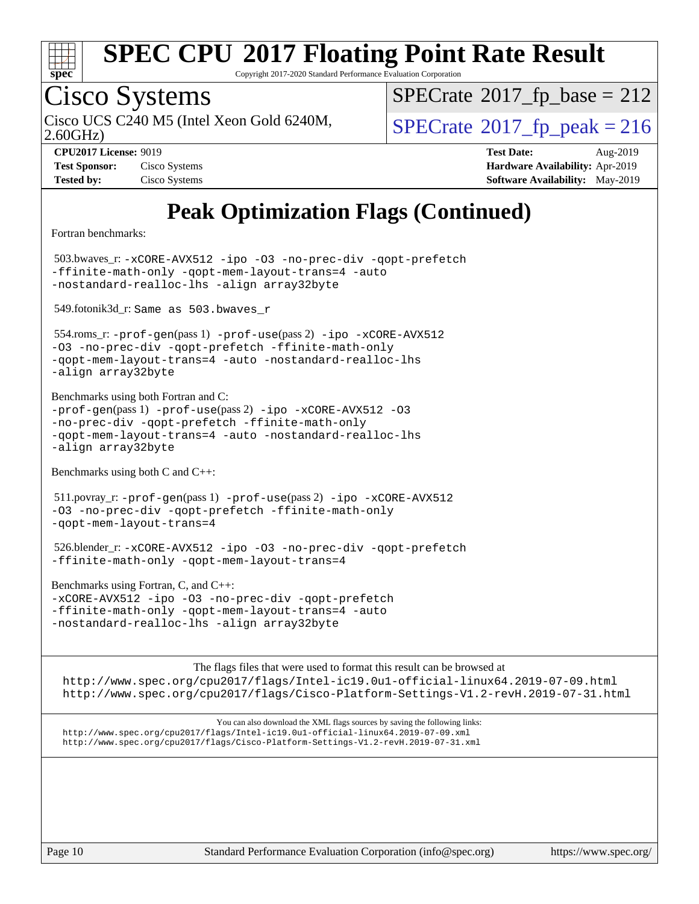

Copyright 2017-2020 Standard Performance Evaluation Corporation

# Cisco Systems

2.60GHz) Cisco UCS C240 M5 (Intel Xeon Gold 6240M,  $SPECrate@2017_fp\_peak = 216$  $SPECrate@2017_fp\_peak = 216$ 

 $SPECTate$ <sup>®</sup>[2017\\_fp\\_base =](http://www.spec.org/auto/cpu2017/Docs/result-fields.html#SPECrate2017fpbase) 212

| <b>Test Sponsor:</b> | Cisco Systems |
|----------------------|---------------|
| <b>Tested by:</b>    | Cisco Systems |

**[CPU2017 License:](http://www.spec.org/auto/cpu2017/Docs/result-fields.html#CPU2017License)** 9019 **[Test Date:](http://www.spec.org/auto/cpu2017/Docs/result-fields.html#TestDate)** Aug-2019 **[Hardware Availability:](http://www.spec.org/auto/cpu2017/Docs/result-fields.html#HardwareAvailability)** Apr-2019 **[Software Availability:](http://www.spec.org/auto/cpu2017/Docs/result-fields.html#SoftwareAvailability)** May-2019

## **[Peak Optimization Flags \(Continued\)](http://www.spec.org/auto/cpu2017/Docs/result-fields.html#PeakOptimizationFlags)**

[Fortran benchmarks](http://www.spec.org/auto/cpu2017/Docs/result-fields.html#Fortranbenchmarks):

 503.bwaves\_r: [-xCORE-AVX512](http://www.spec.org/cpu2017/results/res2019q3/cpu2017-20190819-16782.flags.html#user_peakFOPTIMIZE503_bwaves_r_f-xCORE-AVX512) [-ipo](http://www.spec.org/cpu2017/results/res2019q3/cpu2017-20190819-16782.flags.html#user_peakFOPTIMIZE503_bwaves_r_f-ipo) [-O3](http://www.spec.org/cpu2017/results/res2019q3/cpu2017-20190819-16782.flags.html#user_peakFOPTIMIZE503_bwaves_r_f-O3) [-no-prec-div](http://www.spec.org/cpu2017/results/res2019q3/cpu2017-20190819-16782.flags.html#user_peakFOPTIMIZE503_bwaves_r_f-no-prec-div) [-qopt-prefetch](http://www.spec.org/cpu2017/results/res2019q3/cpu2017-20190819-16782.flags.html#user_peakFOPTIMIZE503_bwaves_r_f-qopt-prefetch) [-ffinite-math-only](http://www.spec.org/cpu2017/results/res2019q3/cpu2017-20190819-16782.flags.html#user_peakFOPTIMIZE503_bwaves_r_f_finite_math_only_cb91587bd2077682c4b38af759c288ed7c732db004271a9512da14a4f8007909a5f1427ecbf1a0fb78ff2a814402c6114ac565ca162485bbcae155b5e4258871) [-qopt-mem-layout-trans=4](http://www.spec.org/cpu2017/results/res2019q3/cpu2017-20190819-16782.flags.html#user_peakFOPTIMIZE503_bwaves_r_f-qopt-mem-layout-trans_fa39e755916c150a61361b7846f310bcdf6f04e385ef281cadf3647acec3f0ae266d1a1d22d972a7087a248fd4e6ca390a3634700869573d231a252c784941a8) [-auto](http://www.spec.org/cpu2017/results/res2019q3/cpu2017-20190819-16782.flags.html#user_peakFOPTIMIZE503_bwaves_r_f-auto) [-nostandard-realloc-lhs](http://www.spec.org/cpu2017/results/res2019q3/cpu2017-20190819-16782.flags.html#user_peakEXTRA_FOPTIMIZE503_bwaves_r_f_2003_std_realloc_82b4557e90729c0f113870c07e44d33d6f5a304b4f63d4c15d2d0f1fab99f5daaed73bdb9275d9ae411527f28b936061aa8b9c8f2d63842963b95c9dd6426b8a) [-align array32byte](http://www.spec.org/cpu2017/results/res2019q3/cpu2017-20190819-16782.flags.html#user_peakEXTRA_FOPTIMIZE503_bwaves_r_align_array32byte_b982fe038af199962ba9a80c053b8342c548c85b40b8e86eb3cc33dee0d7986a4af373ac2d51c3f7cf710a18d62fdce2948f201cd044323541f22fc0fffc51b6)

549.fotonik3d\_r: Same as 503.bwaves\_r

 554.roms\_r: [-prof-gen](http://www.spec.org/cpu2017/results/res2019q3/cpu2017-20190819-16782.flags.html#user_peakPASS1_FFLAGSPASS1_LDFLAGS554_roms_r_prof_gen_5aa4926d6013ddb2a31985c654b3eb18169fc0c6952a63635c234f711e6e63dd76e94ad52365559451ec499a2cdb89e4dc58ba4c67ef54ca681ffbe1461d6b36)(pass 1) [-prof-use](http://www.spec.org/cpu2017/results/res2019q3/cpu2017-20190819-16782.flags.html#user_peakPASS2_FFLAGSPASS2_LDFLAGS554_roms_r_prof_use_1a21ceae95f36a2b53c25747139a6c16ca95bd9def2a207b4f0849963b97e94f5260e30a0c64f4bb623698870e679ca08317ef8150905d41bd88c6f78df73f19)(pass 2) [-ipo](http://www.spec.org/cpu2017/results/res2019q3/cpu2017-20190819-16782.flags.html#user_peakPASS1_FOPTIMIZEPASS2_FOPTIMIZE554_roms_r_f-ipo) [-xCORE-AVX512](http://www.spec.org/cpu2017/results/res2019q3/cpu2017-20190819-16782.flags.html#user_peakPASS2_FOPTIMIZE554_roms_r_f-xCORE-AVX512) [-O3](http://www.spec.org/cpu2017/results/res2019q3/cpu2017-20190819-16782.flags.html#user_peakPASS1_FOPTIMIZEPASS2_FOPTIMIZE554_roms_r_f-O3) [-no-prec-div](http://www.spec.org/cpu2017/results/res2019q3/cpu2017-20190819-16782.flags.html#user_peakPASS1_FOPTIMIZEPASS2_FOPTIMIZE554_roms_r_f-no-prec-div) [-qopt-prefetch](http://www.spec.org/cpu2017/results/res2019q3/cpu2017-20190819-16782.flags.html#user_peakPASS1_FOPTIMIZEPASS2_FOPTIMIZE554_roms_r_f-qopt-prefetch) [-ffinite-math-only](http://www.spec.org/cpu2017/results/res2019q3/cpu2017-20190819-16782.flags.html#user_peakPASS1_FOPTIMIZEPASS2_FOPTIMIZE554_roms_r_f_finite_math_only_cb91587bd2077682c4b38af759c288ed7c732db004271a9512da14a4f8007909a5f1427ecbf1a0fb78ff2a814402c6114ac565ca162485bbcae155b5e4258871) [-qopt-mem-layout-trans=4](http://www.spec.org/cpu2017/results/res2019q3/cpu2017-20190819-16782.flags.html#user_peakPASS1_FOPTIMIZEPASS2_FOPTIMIZE554_roms_r_f-qopt-mem-layout-trans_fa39e755916c150a61361b7846f310bcdf6f04e385ef281cadf3647acec3f0ae266d1a1d22d972a7087a248fd4e6ca390a3634700869573d231a252c784941a8) [-auto](http://www.spec.org/cpu2017/results/res2019q3/cpu2017-20190819-16782.flags.html#user_peakPASS2_FOPTIMIZE554_roms_r_f-auto) [-nostandard-realloc-lhs](http://www.spec.org/cpu2017/results/res2019q3/cpu2017-20190819-16782.flags.html#user_peakEXTRA_FOPTIMIZE554_roms_r_f_2003_std_realloc_82b4557e90729c0f113870c07e44d33d6f5a304b4f63d4c15d2d0f1fab99f5daaed73bdb9275d9ae411527f28b936061aa8b9c8f2d63842963b95c9dd6426b8a) [-align array32byte](http://www.spec.org/cpu2017/results/res2019q3/cpu2017-20190819-16782.flags.html#user_peakEXTRA_FOPTIMIZE554_roms_r_align_array32byte_b982fe038af199962ba9a80c053b8342c548c85b40b8e86eb3cc33dee0d7986a4af373ac2d51c3f7cf710a18d62fdce2948f201cd044323541f22fc0fffc51b6)

[Benchmarks using both Fortran and C](http://www.spec.org/auto/cpu2017/Docs/result-fields.html#BenchmarksusingbothFortranandC):  $-prof-qen(pass 1) -prof-use(pass 2) -ipo -xCORE-AVX512 -O3$  $-prof-qen(pass 1) -prof-use(pass 2) -ipo -xCORE-AVX512 -O3$  $-prof-qen(pass 1) -prof-use(pass 2) -ipo -xCORE-AVX512 -O3$  $-prof-qen(pass 1) -prof-use(pass 2) -ipo -xCORE-AVX512 -O3$  $-prof-qen(pass 1) -prof-use(pass 2) -ipo -xCORE-AVX512 -O3$  $-prof-qen(pass 1) -prof-use(pass 2) -ipo -xCORE-AVX512 -O3$  $-prof-qen(pass 1) -prof-use(pass 2) -ipo -xCORE-AVX512 -O3$  $-prof-qen(pass 1) -prof-use(pass 2) -ipo -xCORE-AVX512 -O3$ [-no-prec-div](http://www.spec.org/cpu2017/results/res2019q3/cpu2017-20190819-16782.flags.html#user_CC_FCpeak_f-no-prec-div) [-qopt-prefetch](http://www.spec.org/cpu2017/results/res2019q3/cpu2017-20190819-16782.flags.html#user_CC_FCpeak_f-qopt-prefetch) [-ffinite-math-only](http://www.spec.org/cpu2017/results/res2019q3/cpu2017-20190819-16782.flags.html#user_CC_FCpeak_f_finite_math_only_cb91587bd2077682c4b38af759c288ed7c732db004271a9512da14a4f8007909a5f1427ecbf1a0fb78ff2a814402c6114ac565ca162485bbcae155b5e4258871) [-qopt-mem-layout-trans=4](http://www.spec.org/cpu2017/results/res2019q3/cpu2017-20190819-16782.flags.html#user_CC_FCpeak_f-qopt-mem-layout-trans_fa39e755916c150a61361b7846f310bcdf6f04e385ef281cadf3647acec3f0ae266d1a1d22d972a7087a248fd4e6ca390a3634700869573d231a252c784941a8) [-auto](http://www.spec.org/cpu2017/results/res2019q3/cpu2017-20190819-16782.flags.html#user_CC_FCpeak_f-auto) [-nostandard-realloc-lhs](http://www.spec.org/cpu2017/results/res2019q3/cpu2017-20190819-16782.flags.html#user_CC_FCpeak_f_2003_std_realloc_82b4557e90729c0f113870c07e44d33d6f5a304b4f63d4c15d2d0f1fab99f5daaed73bdb9275d9ae411527f28b936061aa8b9c8f2d63842963b95c9dd6426b8a)

[Benchmarks using both C and C++](http://www.spec.org/auto/cpu2017/Docs/result-fields.html#BenchmarksusingbothCandCXX):

[-align array32byte](http://www.spec.org/cpu2017/results/res2019q3/cpu2017-20190819-16782.flags.html#user_CC_FCpeak_align_array32byte_b982fe038af199962ba9a80c053b8342c548c85b40b8e86eb3cc33dee0d7986a4af373ac2d51c3f7cf710a18d62fdce2948f201cd044323541f22fc0fffc51b6)

 511.povray\_r: [-prof-gen](http://www.spec.org/cpu2017/results/res2019q3/cpu2017-20190819-16782.flags.html#user_peakPASS1_CFLAGSPASS1_CXXFLAGSPASS1_LDFLAGS511_povray_r_prof_gen_5aa4926d6013ddb2a31985c654b3eb18169fc0c6952a63635c234f711e6e63dd76e94ad52365559451ec499a2cdb89e4dc58ba4c67ef54ca681ffbe1461d6b36)(pass 1) [-prof-use](http://www.spec.org/cpu2017/results/res2019q3/cpu2017-20190819-16782.flags.html#user_peakPASS2_CFLAGSPASS2_CXXFLAGSPASS2_LDFLAGS511_povray_r_prof_use_1a21ceae95f36a2b53c25747139a6c16ca95bd9def2a207b4f0849963b97e94f5260e30a0c64f4bb623698870e679ca08317ef8150905d41bd88c6f78df73f19)(pass 2) [-ipo](http://www.spec.org/cpu2017/results/res2019q3/cpu2017-20190819-16782.flags.html#user_peakPASS1_COPTIMIZEPASS1_CXXOPTIMIZEPASS2_COPTIMIZEPASS2_CXXOPTIMIZE511_povray_r_f-ipo) [-xCORE-AVX512](http://www.spec.org/cpu2017/results/res2019q3/cpu2017-20190819-16782.flags.html#user_peakPASS2_COPTIMIZEPASS2_CXXOPTIMIZE511_povray_r_f-xCORE-AVX512) [-O3](http://www.spec.org/cpu2017/results/res2019q3/cpu2017-20190819-16782.flags.html#user_peakPASS1_COPTIMIZEPASS1_CXXOPTIMIZEPASS2_COPTIMIZEPASS2_CXXOPTIMIZE511_povray_r_f-O3) [-no-prec-div](http://www.spec.org/cpu2017/results/res2019q3/cpu2017-20190819-16782.flags.html#user_peakPASS1_COPTIMIZEPASS1_CXXOPTIMIZEPASS2_COPTIMIZEPASS2_CXXOPTIMIZE511_povray_r_f-no-prec-div) [-qopt-prefetch](http://www.spec.org/cpu2017/results/res2019q3/cpu2017-20190819-16782.flags.html#user_peakPASS1_COPTIMIZEPASS1_CXXOPTIMIZEPASS2_COPTIMIZEPASS2_CXXOPTIMIZE511_povray_r_f-qopt-prefetch) [-ffinite-math-only](http://www.spec.org/cpu2017/results/res2019q3/cpu2017-20190819-16782.flags.html#user_peakPASS1_COPTIMIZEPASS1_CXXOPTIMIZEPASS2_COPTIMIZEPASS2_CXXOPTIMIZE511_povray_r_f_finite_math_only_cb91587bd2077682c4b38af759c288ed7c732db004271a9512da14a4f8007909a5f1427ecbf1a0fb78ff2a814402c6114ac565ca162485bbcae155b5e4258871) [-qopt-mem-layout-trans=4](http://www.spec.org/cpu2017/results/res2019q3/cpu2017-20190819-16782.flags.html#user_peakPASS1_COPTIMIZEPASS1_CXXOPTIMIZEPASS2_COPTIMIZEPASS2_CXXOPTIMIZE511_povray_r_f-qopt-mem-layout-trans_fa39e755916c150a61361b7846f310bcdf6f04e385ef281cadf3647acec3f0ae266d1a1d22d972a7087a248fd4e6ca390a3634700869573d231a252c784941a8)

 526.blender\_r: [-xCORE-AVX512](http://www.spec.org/cpu2017/results/res2019q3/cpu2017-20190819-16782.flags.html#user_peakCOPTIMIZECXXOPTIMIZE526_blender_r_f-xCORE-AVX512) [-ipo](http://www.spec.org/cpu2017/results/res2019q3/cpu2017-20190819-16782.flags.html#user_peakCOPTIMIZECXXOPTIMIZE526_blender_r_f-ipo) [-O3](http://www.spec.org/cpu2017/results/res2019q3/cpu2017-20190819-16782.flags.html#user_peakCOPTIMIZECXXOPTIMIZE526_blender_r_f-O3) [-no-prec-div](http://www.spec.org/cpu2017/results/res2019q3/cpu2017-20190819-16782.flags.html#user_peakCOPTIMIZECXXOPTIMIZE526_blender_r_f-no-prec-div) [-qopt-prefetch](http://www.spec.org/cpu2017/results/res2019q3/cpu2017-20190819-16782.flags.html#user_peakCOPTIMIZECXXOPTIMIZE526_blender_r_f-qopt-prefetch) [-ffinite-math-only](http://www.spec.org/cpu2017/results/res2019q3/cpu2017-20190819-16782.flags.html#user_peakCOPTIMIZECXXOPTIMIZE526_blender_r_f_finite_math_only_cb91587bd2077682c4b38af759c288ed7c732db004271a9512da14a4f8007909a5f1427ecbf1a0fb78ff2a814402c6114ac565ca162485bbcae155b5e4258871) [-qopt-mem-layout-trans=4](http://www.spec.org/cpu2017/results/res2019q3/cpu2017-20190819-16782.flags.html#user_peakCOPTIMIZECXXOPTIMIZE526_blender_r_f-qopt-mem-layout-trans_fa39e755916c150a61361b7846f310bcdf6f04e385ef281cadf3647acec3f0ae266d1a1d22d972a7087a248fd4e6ca390a3634700869573d231a252c784941a8)

[Benchmarks using Fortran, C, and C++:](http://www.spec.org/auto/cpu2017/Docs/result-fields.html#BenchmarksusingFortranCandCXX) [-xCORE-AVX512](http://www.spec.org/cpu2017/results/res2019q3/cpu2017-20190819-16782.flags.html#user_CC_CXX_FCpeak_f-xCORE-AVX512) [-ipo](http://www.spec.org/cpu2017/results/res2019q3/cpu2017-20190819-16782.flags.html#user_CC_CXX_FCpeak_f-ipo) [-O3](http://www.spec.org/cpu2017/results/res2019q3/cpu2017-20190819-16782.flags.html#user_CC_CXX_FCpeak_f-O3) [-no-prec-div](http://www.spec.org/cpu2017/results/res2019q3/cpu2017-20190819-16782.flags.html#user_CC_CXX_FCpeak_f-no-prec-div) [-qopt-prefetch](http://www.spec.org/cpu2017/results/res2019q3/cpu2017-20190819-16782.flags.html#user_CC_CXX_FCpeak_f-qopt-prefetch) [-ffinite-math-only](http://www.spec.org/cpu2017/results/res2019q3/cpu2017-20190819-16782.flags.html#user_CC_CXX_FCpeak_f_finite_math_only_cb91587bd2077682c4b38af759c288ed7c732db004271a9512da14a4f8007909a5f1427ecbf1a0fb78ff2a814402c6114ac565ca162485bbcae155b5e4258871) [-qopt-mem-layout-trans=4](http://www.spec.org/cpu2017/results/res2019q3/cpu2017-20190819-16782.flags.html#user_CC_CXX_FCpeak_f-qopt-mem-layout-trans_fa39e755916c150a61361b7846f310bcdf6f04e385ef281cadf3647acec3f0ae266d1a1d22d972a7087a248fd4e6ca390a3634700869573d231a252c784941a8) [-auto](http://www.spec.org/cpu2017/results/res2019q3/cpu2017-20190819-16782.flags.html#user_CC_CXX_FCpeak_f-auto) [-nostandard-realloc-lhs](http://www.spec.org/cpu2017/results/res2019q3/cpu2017-20190819-16782.flags.html#user_CC_CXX_FCpeak_f_2003_std_realloc_82b4557e90729c0f113870c07e44d33d6f5a304b4f63d4c15d2d0f1fab99f5daaed73bdb9275d9ae411527f28b936061aa8b9c8f2d63842963b95c9dd6426b8a) [-align array32byte](http://www.spec.org/cpu2017/results/res2019q3/cpu2017-20190819-16782.flags.html#user_CC_CXX_FCpeak_align_array32byte_b982fe038af199962ba9a80c053b8342c548c85b40b8e86eb3cc33dee0d7986a4af373ac2d51c3f7cf710a18d62fdce2948f201cd044323541f22fc0fffc51b6)

[The flags files that were used to format this result can be browsed at](tmsearch) <http://www.spec.org/cpu2017/flags/Intel-ic19.0u1-official-linux64.2019-07-09.html> <http://www.spec.org/cpu2017/flags/Cisco-Platform-Settings-V1.2-revH.2019-07-31.html>

[You can also download the XML flags sources by saving the following links:](tmsearch) <http://www.spec.org/cpu2017/flags/Intel-ic19.0u1-official-linux64.2019-07-09.xml> <http://www.spec.org/cpu2017/flags/Cisco-Platform-Settings-V1.2-revH.2019-07-31.xml>